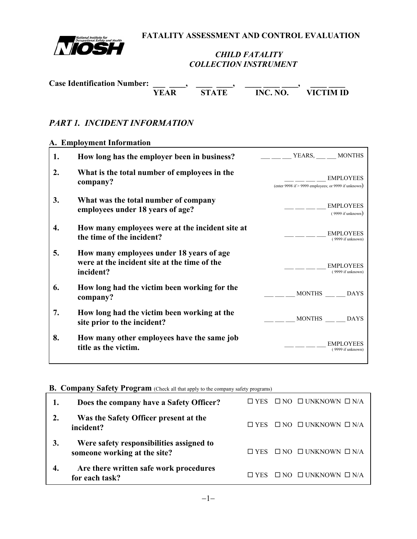

 **FATALITY ASSESSMENT AND CONTROL EVALUATION**

### *CHILD FATALITY COLLECTION INSTRUMENT*

| <b>Case Identification Number:</b> |      |              |          |           |
|------------------------------------|------|--------------|----------|-----------|
|                                    | YEAR | <b>STATE</b> | INC. NO. | VICTIM ID |

# *PART 1. INCIDENT INFORMATION*

#### **A. Employment Information**

| 1. | How long has the employer been in business?                                                           | VEARS, __ __ MONTHS                                                        |
|----|-------------------------------------------------------------------------------------------------------|----------------------------------------------------------------------------|
| 2. | What is the total number of employees in the<br>company?                                              | <b>EMPLOYEES</b><br>(enter 9998 if $>$ 9999 employees; or 9999 if unknown) |
| 3. | What was the total number of company<br>employees under 18 years of age?                              | <b>EMPLOYEES</b><br>$(9999$ if unknown)                                    |
| 4. | How many employees were at the incident site at<br>the time of the incident?                          | <b>EMPLOYEES</b><br>(9999 if unknown)                                      |
| 5. | How many employees under 18 years of age<br>were at the incident site at the time of the<br>incident? | <b>EMPLOYEES</b><br>(9999 if unknown)                                      |
| 6. | How long had the victim been working for the<br>company?                                              | MONTHS DAYS                                                                |
| 7. | How long had the victim been working at the<br>site prior to the incident?                            | MONTHS DAYS                                                                |
| 8. | How many other employees have the same job<br>title as the victim.                                    | <b>EMPLOYEES</b><br>(9999 if unknown)                                      |

#### **B. Company Safety Program** (Check all that apply to the company safety programs)

| Does the company have a Safety Officer?                                  | $\Box$ YES |           | $\Box$ NO $\Box$ UNKNOWN $\Box$ N/A |
|--------------------------------------------------------------------------|------------|-----------|-------------------------------------|
| Was the Safety Officer present at the<br>incident?                       | □ YES      |           | $\Box$ NO $\Box$ UNKNOWN $\Box$ N/A |
| Were safety responsibilities assigned to<br>someone working at the site? | <b>YES</b> |           | $\Box$ NO $\Box$ UNKNOWN $\Box$ N/A |
| Are there written safe work procedures<br>for each task?                 |            | $\Box$ NO | $\Box$ UNKNOWN $\Box$ N/A           |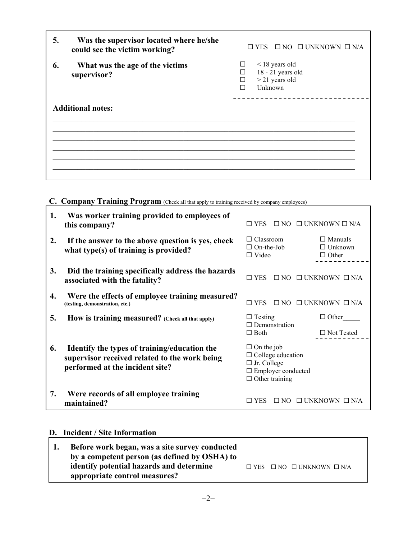| 5. | Was the supervisor located where he/she<br>could see the victim working? | $\Box$ YES $\Box$ NO $\Box$ UNKNOWN $\Box$ N/A                                           |
|----|--------------------------------------------------------------------------|------------------------------------------------------------------------------------------|
| 6. | What was the age of the victims<br>supervisor?                           | $\leq$ 18 years old<br>ப<br>$18 - 21$ years old<br>⊓<br>$>$ 21 years old<br>П<br>Unknown |
|    | <b>Additional notes:</b>                                                 |                                                                                          |
|    |                                                                          |                                                                                          |

# C. Company Training Program (Check all that apply to training received by company employees)

| 1. | Was worker training provided to employees of<br>this company?                                                                    | $\square$ YES                                                                                                             | $\Box$ NO $\Box$ UNKNOWN $\Box$ N/A              |  |
|----|----------------------------------------------------------------------------------------------------------------------------------|---------------------------------------------------------------------------------------------------------------------------|--------------------------------------------------|--|
| 2. | If the answer to the above question is yes, check<br>what type(s) of training is provided?                                       | $\Box$ Classroom<br>$\Box$ On-the-Job<br>$\Box$ Video                                                                     | $\Box$ Manuals<br>$\Box$ Unknown<br>$\Box$ Other |  |
| 3. | Did the training specifically address the hazards<br>associated with the fatality?                                               | $\square$ YES                                                                                                             | $\Box$ NO $\Box$ UNKNOWN $\Box$ N/A              |  |
| 4. | Were the effects of employee training measured?<br>(testing, demonstration, etc.)                                                | $\square$ YES                                                                                                             | $\Box$ NO $\Box$ UNKNOWN $\Box$ N/A              |  |
| 5. | How is training measured? (Check all that apply)                                                                                 | $\Box$ Testing<br>$\Box$ Demonstration                                                                                    | $\Box$ Other                                     |  |
|    |                                                                                                                                  | $\Box$ Both                                                                                                               | $\Box$ Not Tested                                |  |
| 6. | Identify the types of training/education the<br>supervisor received related to the work being<br>performed at the incident site? | $\Box$ On the job<br>$\Box$ College education<br>$\Box$ Jr. College<br>$\Box$ Employer conducted<br>$\Box$ Other training |                                                  |  |
| 7. | Were records of all employee training<br>maintained?                                                                             | $\Box$ YES                                                                                                                | $\Box$ NO $\Box$ UNKNOWN $\Box$ N/A              |  |

# **D. Incident / Site Information**

| <b>1.</b> | Before work began, was a site survey conducted |  |                                                |
|-----------|------------------------------------------------|--|------------------------------------------------|
|           | by a competent person (as defined by OSHA) to  |  |                                                |
|           | identify potential hazards and determine       |  | $\Box$ YES $\Box$ NO $\Box$ UNKNOWN $\Box$ N/A |
|           | appropriate control measures?                  |  |                                                |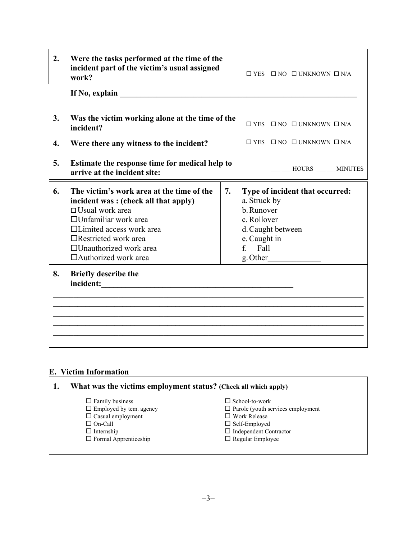| 2.                 | Were the tasks performed at the time of the<br>incident part of the victim's usual assigned<br>work?                                                                                                                                                                   |    |                                                                                                       | $\Box$ YES $\Box$ NO $\Box$ UNKNOWN $\Box$ N/A             |  |
|--------------------|------------------------------------------------------------------------------------------------------------------------------------------------------------------------------------------------------------------------------------------------------------------------|----|-------------------------------------------------------------------------------------------------------|------------------------------------------------------------|--|
|                    | If No, explain                                                                                                                                                                                                                                                         |    |                                                                                                       |                                                            |  |
| 3.                 | Was the victim working alone at the time of the<br>incident?                                                                                                                                                                                                           |    |                                                                                                       | $\square$ YES $\square$ NO $\square$ UNKNOWN $\square$ N/A |  |
| $\boldsymbol{4}$ . | Were there any witness to the incident?                                                                                                                                                                                                                                |    |                                                                                                       | $\Box$ YES $\Box$ NO $\Box$ UNKNOWN $\Box$ N/A             |  |
| 5.                 | Estimate the response time for medical help to<br>arrive at the incident site:                                                                                                                                                                                         |    |                                                                                                       | HOURS MINUTES                                              |  |
| 6.                 | The victim's work area at the time of the<br>incident was: (check all that apply)<br>$\Box$ Usual work area<br>$\Box$ Unfamiliar work area<br>$\Box$ Limited access work area<br>$\Box$ Restricted work area<br>□Unauthorized work area<br>$\Box$ Authorized work area | 7. | a. Struck by<br>b. Runover<br>c. Rollover<br>d. Caught between<br>e. Caught in<br>f. Fall<br>g. Other | Type of incident that occurred:                            |  |
| 8.                 | <b>Briefly describe the</b><br>incident:                                                                                                                                                                                                                               |    |                                                                                                       |                                                            |  |

# **E. Victim Information**

| What was the victims employment status? (Check all which apply)                                                                                             |                                                                                                                                                                              |
|-------------------------------------------------------------------------------------------------------------------------------------------------------------|------------------------------------------------------------------------------------------------------------------------------------------------------------------------------|
| $\Box$ Family business<br>$\Box$ Employed by tem. agency<br>$\Box$ Casual employment<br>$\Box$ On-Call<br>$\Box$ Internship<br>$\Box$ Formal Apprenticeship | $\Box$ School-to-work<br>$\Box$ Parole (youth services employment<br>$\Box$ Work Release<br>$\Box$ Self-Employed<br>$\Box$ Independent Contractor<br>$\Box$ Regular Employee |